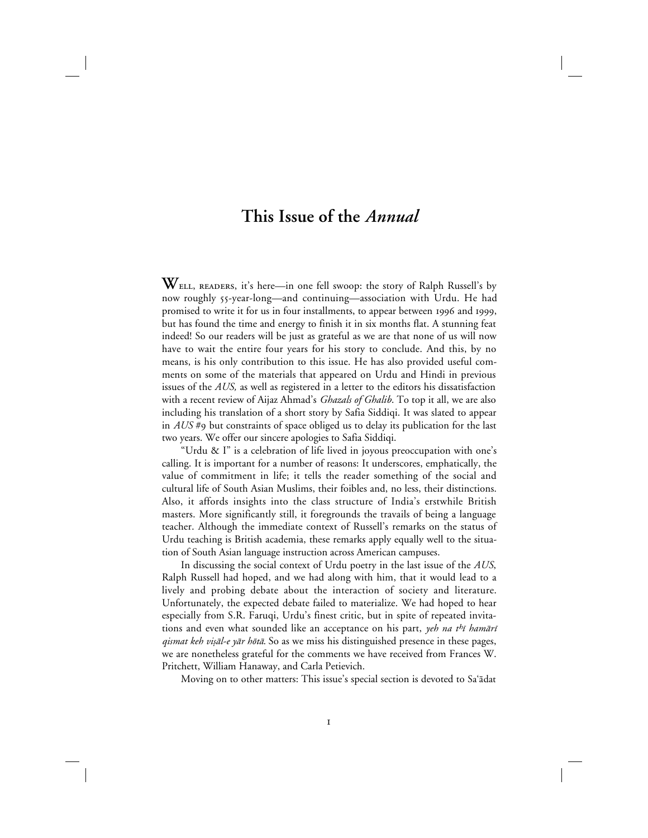## **This Issue of the** *Annual*

**W**<sub>ELL, READERS, it's here—in one fell swoop: the story of Ralph Russell's by</sub> now roughly 55-year-long—and continuing—association with Urdu. He had promised to write it for us in four installments, to appear between 1996 and 1999, but has found the time and energy to finish it in six months flat. A stunning feat indeed! So our readers will be just as grateful as we are that none of us will now have to wait the entire four years for his story to conclude. And this, by no means, is his only contribution to this issue. He has also provided useful comments on some of the materials that appeared on Urdu and Hindi in previous issues of the *AUS,* as well as registered in a letter to the editors his dissatisfaction with a recent review of Aijaz Ahmad's *Ghazals of Ghalib*. To top it all, we are also including his translation of a short story by Safia Siddiqi. It was slated to appear in *AUS* #9 but constraints of space obliged us to delay its publication for the last two years. We offer our sincere apologies to Safia Siddiqi.

"Urdu & I" is a celebration of life lived in joyous preoccupation with one's calling. It is important for a number of reasons: It underscores, emphatically, the value of commitment in life; it tells the reader something of the social and cultural life of South Asian Muslims, their foibles and, no less, their distinctions. Also, it affords insights into the class structure of India's erstwhile British masters. More significantly still, it foregrounds the travails of being a language teacher. Although the immediate context of Russell's remarks on the status of Urdu teaching is British academia, these remarks apply equally well to the situation of South Asian language instruction across American campuses.

In discussing the social context of Urdu poetry in the last issue of the *AUS*, Ralph Russell had hoped, and we had along with him, that it would lead to a lively and probing debate about the interaction of society and literature. Unfortunately, the expected debate failed to materialize. We had hoped to hear especially from S.R. Faruqi, Urdu's finest critic, but in spite of repeated invitations and even what sounded like an acceptance on his part, yeh na t<sup>h</sup>i hamāri qismat keh vişāl-e yār hōtā. So as we miss his distinguished presence in these pages, we are nonetheless grateful for the comments we have received from Frances W. Pritchett, William Hanaway, and Carla Petievich.

Moving on to other matters: This issue's special section is devoted to Sa'ādat